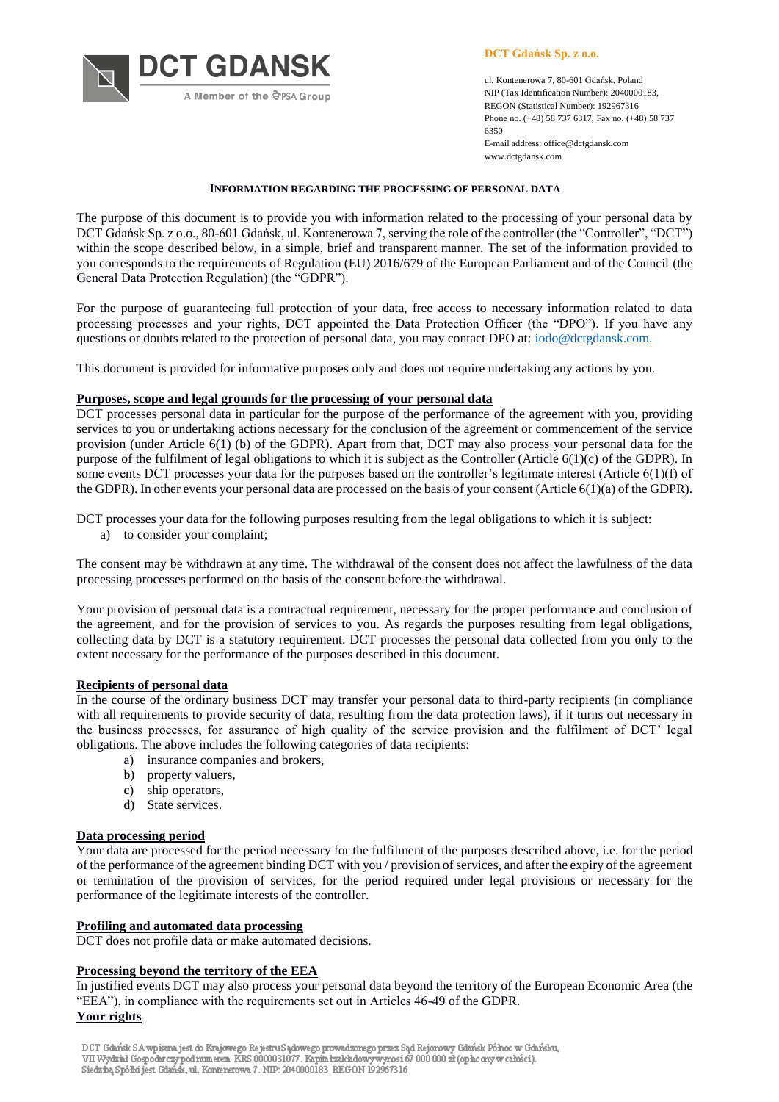**DCT GDANSK**  **DCT Gdańsk Sp. z o.o.**

ul. Kontenerowa 7, 80-601 Gdańsk, Poland NIP (Tax Identification Number): 2040000183, REGON (Statistical Number): 192967316 Phone no. (+48) 58 737 6317, Fax no. (+48) 58 737 6350 E-mail address: office@dctgdansk.com www.dctgdansk.com

# **INFORMATION REGARDING THE PROCESSING OF PERSONAL DATA**

The purpose of this document is to provide you with information related to the processing of your personal data by DCT Gdańsk Sp. z o.o., 80-601 Gdańsk, ul. Kontenerowa 7, serving the role of the controller (the "Controller", "DCT") within the scope described below, in a simple, brief and transparent manner. The set of the information provided to you corresponds to the requirements of Regulation (EU) 2016/679 of the European Parliament and of the Council (the General Data Protection Regulation) (the "GDPR").

For the purpose of guaranteeing full protection of your data, free access to necessary information related to data processing processes and your rights, DCT appointed the Data Protection Officer (the "DPO"). If you have any questions or doubts related to the protection of personal data, you may contact DPO at: [iodo@dctgdansk.com.](mailto:iodo@dctgdansk.com)

This document is provided for informative purposes only and does not require undertaking any actions by you.

# **Purposes, scope and legal grounds for the processing of your personal data**

DCT processes personal data in particular for the purpose of the performance of the agreement with you, providing services to you or undertaking actions necessary for the conclusion of the agreement or commencement of the service provision (under Article 6(1) (b) of the GDPR). Apart from that, DCT may also process your personal data for the purpose of the fulfilment of legal obligations to which it is subject as the Controller (Article 6(1)(c) of the GDPR). In some events DCT processes your data for the purposes based on the controller's legitimate interest (Article  $6(1)(f)$  of the GDPR). In other events your personal data are processed on the basis of your consent (Article 6(1)(a) of the GDPR).

DCT processes your data for the following purposes resulting from the legal obligations to which it is subject:

a) to consider your complaint;

The consent may be withdrawn at any time. The withdrawal of the consent does not affect the lawfulness of the data processing processes performed on the basis of the consent before the withdrawal.

Your provision of personal data is a contractual requirement, necessary for the proper performance and conclusion of the agreement, and for the provision of services to you. As regards the purposes resulting from legal obligations, collecting data by DCT is a statutory requirement. DCT processes the personal data collected from you only to the extent necessary for the performance of the purposes described in this document.

#### **Recipients of personal data**

In the course of the ordinary business DCT may transfer your personal data to third-party recipients (in compliance with all requirements to provide security of data, resulting from the data protection laws), if it turns out necessary in the business processes, for assurance of high quality of the service provision and the fulfilment of DCT' legal obligations. The above includes the following categories of data recipients:

- a) insurance companies and brokers,
- b) property valuers,
- c) ship operators,
- d) State services.

# **Data processing period**

Your data are processed for the period necessary for the fulfilment of the purposes described above, i.e. for the period of the performance of the agreement binding DCT with you / provision of services, and after the expiry of the agreement or termination of the provision of services, for the period required under legal provisions or necessary for the performance of the legitimate interests of the controller.

#### **Profiling and automated data processing**

DCT does not profile data or make automated decisions.

# **Processing beyond the territory of the EEA**

In justified events DCT may also process your personal data beyond the territory of the European Economic Area (the "EEA"), in compliance with the requirements set out in Articles 46-49 of the GDPR.

**Your rights**